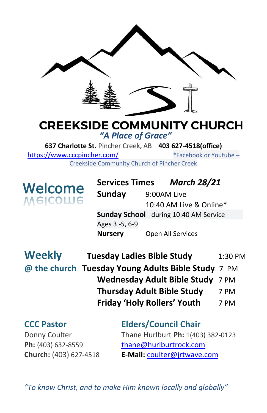

## **CREEKSIDE COMMUNITY CHURCH** *"A Place of Grace"*

**637 Charlotte St.** Pincher Creek, AB **403 627-4518(office)**  <https://www.cccpincher.com/>\*Facebook or Youtube – Creekside Community Church of Pincher Creek

**Welcome**<br>Melcolue

**Services Times** *March 28/21* **Sunday** 9:00AM Live 10:40 AM Live & Online\* **Sunday School** during 10:40 AM Service Ages 3 -5, 6-9 **Nursery** Open All Services

| <b>Weekly</b> | <b>Tuesday Ladies Bible Study</b>                  | 1:30 PM |
|---------------|----------------------------------------------------|---------|
|               | @ the church Tuesday Young Adults Bible Study 7 PM |         |
|               | Wednesday Adult Bible Study 7 PM                   |         |
|               | <b>Thursday Adult Bible Study</b>                  | 7 PM    |
|               | <b>Friday 'Holy Rollers' Youth</b>                 | 7 PM    |

## **CCC Pastor Elders/Council Chair** Donny Coulter Thane Hurlburt **Ph:** 1(403) 382-0123 Ph: (403) 632-8559 [thane@hurlburtrock.com](mailto:thane@hurlburtrock.com)

**Church:** (403) 627-4518 **E-Mail:** [coulter@jrtwave.com](mailto:coulter@jrtwave.com)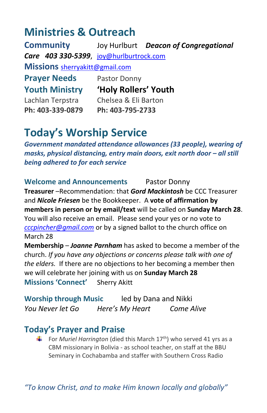## **Ministries & Outreach**

**Community** Joy Hurlburt *Deacon of Congregational Care 403 330-5399*, [joy@hurlburtrock.com](mailto:joy@hurlburtrock.com) **Missions** [sherryakitt@gmail.com](mailto:sherryakitt@gmail.com) **Prayer Needs** Pastor Donny **Youth Ministry 'Holy Rollers' Youth** Lachlan Terpstra Chelsea & Eli Barton **Ph: 403-339-0879 Ph: 403-795-2733**

## **Today's Worship Service**

*Government mandated attendance allowances (33 people), wearing of masks, physical distancing, entry main doors, exit north door – all still being adhered to for each service*

**Welcome and Announcements** Pastor Donny

**Treasurer** –Recommendation: that *Gord Mackintosh* be CCC Treasurer and *Nicole Friesen* be the Bookkeeper. A **vote of affirmation by members in person or by email/text** will be called on **Sunday March 28**. You will also receive an email. Please send your yes or no vote to *[cccpincher@gmail.com](mailto:cccpincher@gmail.com)* or by a signed ballot to the church office on March 28

**Membership** – *Joanne Parnham* has asked to become a member of the church. *If you have any objections or concerns please talk with one of the elders.* If there are no objections to her becoming a member then we will celebrate her joining with us on **Sunday March 28 Missions 'Connect'** Sherry Akitt

**Worship through Music** led by Dana and Nikki *You Never let Go Here's My Heart Come Alive*

## **Today's Prayer and Praise**

For *Muriel Harrington* (died this March 17<sup>th</sup>) who served 41 yrs as a CBM missionary in Bolivia - as school teacher, on staff at the BBU Seminary in Cochabamba and staffer with Southern Cross Radio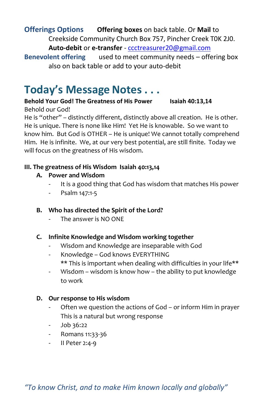#### **Offerings Options Offering boxes** on back table. Or **Mail** to Creekside Community Church Box 757, Pincher Creek T0K 2J0. **Auto-debit** or **e-transfer** - [ccctreasurer20@gmail.com](mailto:ccctreasurer20@gmail.com)

**Benevolent offering** used to meet community needs – offering box also on back table or add to your auto-debit

## **Today's Message Notes . . .**

**Behold Your God! The Greatness of His Power Isaiah 40:13,14** Behold our God!

He is "other" – distinctly different, distinctly above all creation. He is other. He is unique. There is none like Him! Yet He is knowable. So we want to know him. But God is OTHER – He is unique! We cannot totally comprehend Him. He is infinite. We, at our very best potential, are still finite. Today we will focus on the greatness of His wisdom.

#### **III. The greatness of His Wisdom Isaiah 40:13,14**

#### **A. Power and Wisdom**

- It is a good thing that God has wisdom that matches His power
- Psalm 147:1-5
- **B. Who has directed the Spirit of the Lord?**
	- The answer is NO ONF

#### **C. Infinite Knowledge and Wisdom working together**

- Wisdom and Knowledge are inseparable with God
- Knowledge God knows EVERYTHING \*\* This is important when dealing with difficulties in your life\*\*
- Wisdom wisdom is know how the ability to put knowledge to work

#### **D. Our response to His wisdom**

- Often we question the actions of God or inform Him in prayer This is a natural but wrong response
- Job 36:22
- Romans 11:33-36
- II Peter 2:4-9